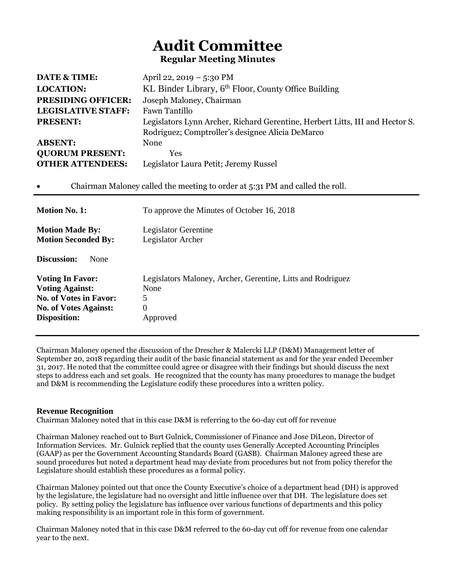# **Audit Committee Regular Meeting Minutes**

| <b>DATE &amp; TIME:</b>                                                                                                  | April 22, 2019 – 5:30 PM                                                                                                   |  |
|--------------------------------------------------------------------------------------------------------------------------|----------------------------------------------------------------------------------------------------------------------------|--|
| <b>LOCATION:</b>                                                                                                         | KL Binder Library, 6 <sup>th</sup> Floor, County Office Building                                                           |  |
| <b>PRESIDING OFFICER:</b>                                                                                                | Joseph Maloney, Chairman<br>Fawn Tantillo                                                                                  |  |
| <b>LEGISLATIVE STAFF:</b>                                                                                                |                                                                                                                            |  |
| <b>PRESENT:</b>                                                                                                          | Legislators Lynn Archer, Richard Gerentine, Herbert Litts, III and Hector S.                                               |  |
|                                                                                                                          | Rodriguez; Comptroller's designee Alicia DeMarco                                                                           |  |
| <b>ABSENT:</b>                                                                                                           | None                                                                                                                       |  |
| <b>QUORUM PRESENT:</b>                                                                                                   | Yes                                                                                                                        |  |
| <b>OTHER ATTENDEES:</b>                                                                                                  | Legislator Laura Petit; Jeremy Russel                                                                                      |  |
| <b>Motion No. 1:</b>                                                                                                     | Chairman Maloney called the meeting to order at 5:31 PM and called the roll.<br>To approve the Minutes of October 16, 2018 |  |
|                                                                                                                          |                                                                                                                            |  |
|                                                                                                                          |                                                                                                                            |  |
|                                                                                                                          | Legislator Gerentine<br>Legislator Archer                                                                                  |  |
| None                                                                                                                     |                                                                                                                            |  |
|                                                                                                                          | Legislators Maloney, Archer, Gerentine, Litts and Rodriguez                                                                |  |
| <b>Motion Made By:</b><br><b>Motion Seconded By:</b><br>Discussion:<br><b>Voting In Favor:</b><br><b>Voting Against:</b> | None                                                                                                                       |  |
|                                                                                                                          | 5                                                                                                                          |  |
| <b>No. of Votes in Favor:</b><br><b>No. of Votes Against:</b><br><b>Disposition:</b>                                     | $\Omega$<br>Approved                                                                                                       |  |

Chairman Maloney opened the discussion of the Drescher & Malercki LLP (D&M) Management letter of September 20, 2018 regarding their audit of the basic financial statement as and for the year ended December 31, 2017. He noted that the committee could agree or disagree with their findings but should discuss the next steps to address each and set goals. He recognized that the county has many procedures to manage the budget and D&M is recommending the Legislature codify these procedures into a written policy.

## **Revenue Recognition**

Chairman Maloney noted that in this case D&M is referring to the 60-day cut off for revenue

Chairman Maloney reached out to Burt Gulnick, Commissioner of Finance and Jose DiLeon, Director of Information Services. Mr. Gulnick replied that the county uses Generally Accepted Accounting Principles (GAAP) as per the Government Accounting Standards Board (GASB). Chairman Maloney agreed these are sound procedures but noted a department head may deviate from procedures but not from policy therefor the Legislature should establish these procedures as a formal policy.

Chairman Maloney pointed out that once the County Executive's choice of a department head (DH) is approved by the legislature, the legislature had no oversight and little influence over that DH. The legislature does set policy. By setting policy the legislature has influence over various functions of departments and this policy making responsibility is an important role in this form of government.

Chairman Maloney noted that in this case D&M referred to the 60-day cut off for revenue from one calendar year to the next.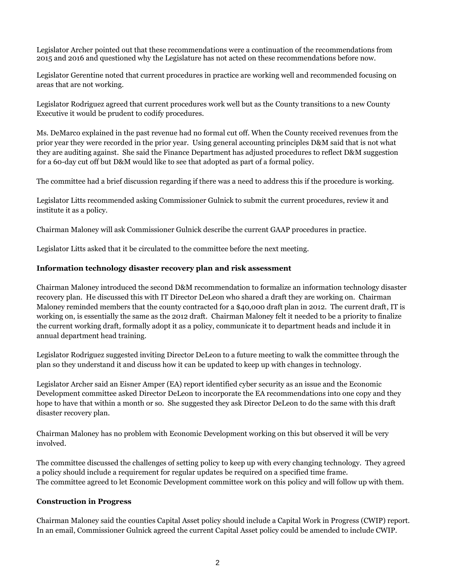Legislator Archer pointed out that these recommendations were a continuation of the recommendations from 2015 and 2016 and questioned why the Legislature has not acted on these recommendations before now.

Legislator Gerentine noted that current procedures in practice are working well and recommended focusing on areas that are not working.

Legislator Rodriguez agreed that current procedures work well but as the County transitions to a new County Executive it would be prudent to codify procedures.

Ms. DeMarco explained in the past revenue had no formal cut off. When the County received revenues from the prior year they were recorded in the prior year. Using general accounting principles D&M said that is not what they are auditing against. She said the Finance Department has adjusted procedures to reflect D&M suggestion for a 60-day cut off but D&M would like to see that adopted as part of a formal policy.

The committee had a brief discussion regarding if there was a need to address this if the procedure is working.

Legislator Litts recommended asking Commissioner Gulnick to submit the current procedures, review it and institute it as a policy.

Chairman Maloney will ask Commissioner Gulnick describe the current GAAP procedures in practice.

Legislator Litts asked that it be circulated to the committee before the next meeting.

#### **Information technology disaster recovery plan and risk assessment**

Chairman Maloney introduced the second D&M recommendation to formalize an information technology disaster recovery plan. He discussed this with IT Director DeLeon who shared a draft they are working on. Chairman Maloney reminded members that the county contracted for a \$40,000 draft plan in 2012. The current draft, IT is working on, is essentially the same as the 2012 draft. Chairman Maloney felt it needed to be a priority to finalize the current working draft, formally adopt it as a policy, communicate it to department heads and include it in annual department head training.

Legislator Rodriguez suggested inviting Director DeLeon to a future meeting to walk the committee through the plan so they understand it and discuss how it can be updated to keep up with changes in technology.

Legislator Archer said an Eisner Amper (EA) report identified cyber security as an issue and the Economic Development committee asked Director DeLeon to incorporate the EA recommendations into one copy and they hope to have that within a month or so. She suggested they ask Director DeLeon to do the same with this draft disaster recovery plan.

Chairman Maloney has no problem with Economic Development working on this but observed it will be very involved.

The committee discussed the challenges of setting policy to keep up with every changing technology. They agreed a policy should include a requirement for regular updates be required on a specified time frame. The committee agreed to let Economic Development committee work on this policy and will follow up with them.

#### **Construction in Progress**

Chairman Maloney said the counties Capital Asset policy should include a Capital Work in Progress (CWIP) report. In an email, Commissioner Gulnick agreed the current Capital Asset policy could be amended to include CWIP.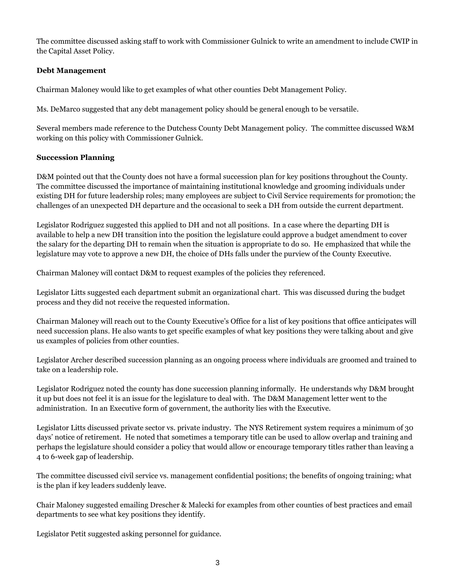The committee discussed asking staff to work with Commissioner Gulnick to write an amendment to include CWIP in the Capital Asset Policy.

## **Debt Management**

Chairman Maloney would like to get examples of what other counties Debt Management Policy.

Ms. DeMarco suggested that any debt management policy should be general enough to be versatile.

Several members made reference to the Dutchess County Debt Management policy. The committee discussed W&M working on this policy with Commissioner Gulnick.

# **Succession Planning**

D&M pointed out that the County does not have a formal succession plan for key positions throughout the County. The committee discussed the importance of maintaining institutional knowledge and grooming individuals under existing DH for future leadership roles; many employees are subject to Civil Service requirements for promotion; the challenges of an unexpected DH departure and the occasional to seek a DH from outside the current department.

Legislator Rodriguez suggested this applied to DH and not all positions. In a case where the departing DH is available to help a new DH transition into the position the legislature could approve a budget amendment to cover the salary for the departing DH to remain when the situation is appropriate to do so. He emphasized that while the legislature may vote to approve a new DH, the choice of DHs falls under the purview of the County Executive.

Chairman Maloney will contact D&M to request examples of the policies they referenced.

Legislator Litts suggested each department submit an organizational chart. This was discussed during the budget process and they did not receive the requested information.

Chairman Maloney will reach out to the County Executive's Office for a list of key positions that office anticipates will need succession plans. He also wants to get specific examples of what key positions they were talking about and give us examples of policies from other counties.

Legislator Archer described succession planning as an ongoing process where individuals are groomed and trained to take on a leadership role.

Legislator Rodriguez noted the county has done succession planning informally. He understands why D&M brought it up but does not feel it is an issue for the legislature to deal with. The D&M Management letter went to the administration. In an Executive form of government, the authority lies with the Executive.

Legislator Litts discussed private sector vs. private industry. The NYS Retirement system requires a minimum of 30 days' notice of retirement. He noted that sometimes a temporary title can be used to allow overlap and training and perhaps the legislature should consider a policy that would allow or encourage temporary titles rather than leaving a 4 to 6-week gap of leadership.

The committee discussed civil service vs. management confidential positions; the benefits of ongoing training; what is the plan if key leaders suddenly leave.

Chair Maloney suggested emailing Drescher & Malecki for examples from other counties of best practices and email departments to see what key positions they identify.

Legislator Petit suggested asking personnel for guidance.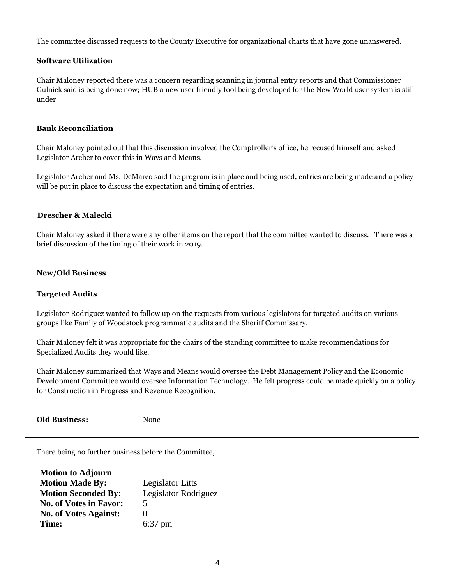The committee discussed requests to the County Executive for organizational charts that have gone unanswered.

# **Software Utilization**

Chair Maloney reported there was a concern regarding scanning in journal entry reports and that Commissioner Gulnick said is being done now; HUB a new user friendly tool being developed for the New World user system is still under

## **Bank Reconciliation**

Chair Maloney pointed out that this discussion involved the Comptroller's office, he recused himself and asked Legislator Archer to cover this in Ways and Means.

Legislator Archer and Ms. DeMarco said the program is in place and being used, entries are being made and a policy will be put in place to discuss the expectation and timing of entries.

## **Drescher & Malecki**

Chair Maloney asked if there were any other items on the report that the committee wanted to discuss. There was a brief discussion of the timing of their work in 2019.

#### **New/Old Business**

### **Targeted Audits**

Legislator Rodriguez wanted to follow up on the requests from various legislators for targeted audits on various groups like Family of Woodstock programmatic audits and the Sheriff Commissary.

Chair Maloney felt it was appropriate for the chairs of the standing committee to make recommendations for Specialized Audits they would like.

Chair Maloney summarized that Ways and Means would oversee the Debt Management Policy and the Economic Development Committee would oversee Information Technology. He felt progress could be made quickly on a policy for Construction in Progress and Revenue Recognition.

**Old Business:** None

There being no further business before the Committee,

| <b>Motion to Adjourn</b>      |                         |
|-------------------------------|-------------------------|
| <b>Motion Made By:</b>        | <b>Legislator Litts</b> |
| <b>Motion Seconded By:</b>    | Legislator Rodriguez    |
| <b>No. of Votes in Favor:</b> | 5                       |
| <b>No. of Votes Against:</b>  | 0                       |
| Time:                         | $6:37$ pm               |